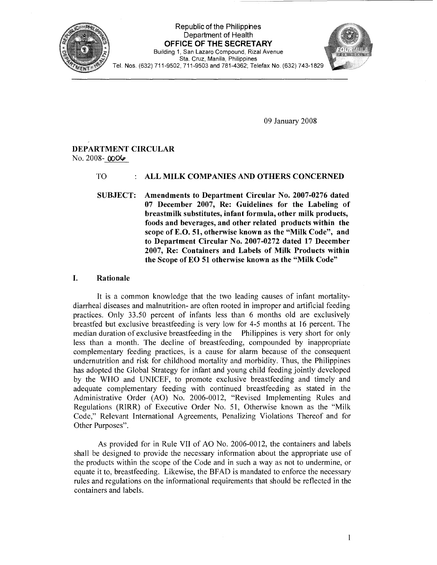

Republic of the Philipphes Department of Health OFFICE OF **THE** SECRETARY Building 1, San Lazaro Compound, Rizal Avenue Sta. Cruz, Manila, Philippines Tel. Nos. (632) 711-9502,711-9503 and 781-4362; Telefax No. (632) 743-1829



09 January 2008

# DEPARTMENT CIRCULAR No. 2008-  $0006$

# TO : ALL MILK COMPANIES AND OTHERS CONCERNED

SUBJECT: Amendments to Department Circular No. 2007-0276 dated 07 December 2007, Re: Guidelines for the Labeling of breastmilk substitutes, infant formula, other milk products, foods and beverages, and other related products within the scope of E.O. 51, otherwise known as the "Milk Code", and to Department Circular No. 2007-0272 dated 17 December 2007, Re: Containers and Labels of Milk Products within the Scope of EO 51 otherwise known as the "Milk Code"

# I. Rationale

It is a common knowledge that the two leading causes of infant mortalitydiarrheal diseases and malnutrition- are often rooted in improper and artificial feeding practices. Only 33.50 percent of infants less than 6 months old are exclusively breastfed but exclusive breastfeeding is very low for 4-5 months at 16 percent. The median duration of exclusive breastfeeding in the Philippines is very short for only less than a month. The decline of breastfeeding, compounded by inappropriate complementary feeding practices, is a cause for alarm because of the consequent undernutrition and risk for childhood mortality and morbidity. Thus, the Philippines has adopted the Global Strategy for infant and young child feeding jointly developed by the WHO and UNICEF, to promote exclusive breastfeeding and timely and adequate complementary feeding with continued breastfeeding as stated in the Administrative Order (AO) No. 2006-0012, "Revised Implementing Rules and Regulations (RIRR) of Executive Order No. 51, Otherwise known as the "Milk Code," Relevant International Agreements, Penalizing Violations Thereof and for Other Purposes".

As provided for in Rule VII of AO No. 2006-0012, the containers and labels shall be designed to provide the necessary information about the appropriate use of the products within the scope of the Code and in such a way as not to undermine, or equate it to, breastfeeding. Likewise, the BFAD is mandated to enforce the necessary rules and regulations on the informational requirements that should be reflected in the containers and labels.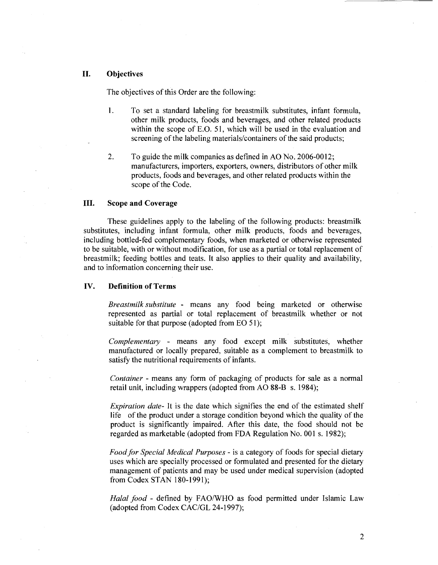#### II. Objectives

The objectives of this Order are the following:

- 1. To set a standard labeling for breastmilk substitutes, infant formula, other milk products, foods and beverages, and other related products within the scope of E.O. 51, which will be used in the evaluation and screening of the labeling materials/containers of the said products;
- 2. To guide the milk companies as defined in AO No. 2006-0012; manufacturers, importers, exporters, owners, distributors of other milk products, foods and beverages, and other related products within the scope of the Code.

#### III. Scope and Coverage

These guidelines apply to the labeling of the following products: breastmilk substitutes, including infant formula, other milk products, foods and beverages, including bottled-fed complementary foods, when marketed or otherwise represented to be suitable, with or without modification, for use as a partial or total replacement of breastmilk; feeding bottles and teats. It also applies to their quality and availability, and to information concerning their use.

#### IV. Definition of Terms

*Breastmilk substitute* - means any food being marketed or otherwise represented as partial or total replacement of breastmilk whether or not suitable for that purpose (adopted from EO 51);

*Complementary* - means any food except milk substitutes, whether manufactured or locally prepared, suitable as a complement to breastmilk to satisfy the nutritional requirements of infants.

*Container* - means any form of packaging of products for sale as a normal retail unit, including wrappers (adopted from AO 88-B s. 1984);

*Expiration date-* It is the date which signifies the end of the estimated shelf life of the product under a storage condition beyond which the quality of the product is significantly impaired. After this date, the food should not be regarded as marketable (adopted from FDA Regulation No. 001 s. 1982);

*Food for Special Medical Purposes* - is a category of foods for special dietary uses which are specially processed or formulated and presented for the dietary management of patients and may be used under medical supervision (adopted from Codex STAN 180-1991);

Halal food - defined by FAO/WHO as food permitted under Islamic Law (adopted from Codex CAC/GL 24-1997);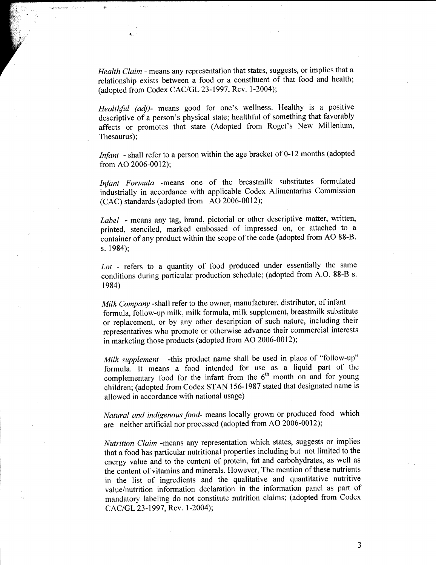*Health Claim* - means any representation that states, suggests, or implies that a relationship exists between a food or a constituent of that food and health; (adopted from Codex CAC/GL 23-1997, Rev. 1-2004);

..

*Healthful (adj)-* means good for one's wellness. Healthy is a positive descriptive of a person's physical state; healthful of something that favorably affects or promotes that state (Adopted from Roget's New Millenium, Thesaurus);

*Infant* - shall refer to a person within the age bracket of 0-12 months (adopted from AO 2006-0012);

*Irifant Formula* -means one of the breastmilk substitutes formulated industrially in accordance with applicable Codex Alimentarius Commission (CAC) standards (adopted from AO 2006-0012);

*Label* - means any tag, brand, pictorial or other descriptive matter, written, printed, stenciled, marked embossed of impressed on, or attached to a container of any product within the scope of the code (adopted from AO 88-B. s. 1984);

*Lot* - refers to a quantity of food produced under essentially the same conditions during particular production schedule; (adopted from A.O. 88-B s. 1984)

*Milk Company* -shall refer to the owner, manufacturer, distributor, of infant formula, follow-up milk, milk formula, milk supplement, breastmilk substitute or replacement, or by any other description of such nature, including their representatives who promote or otherwise advance their commercial interests in marketing those products (adopted from AO 2006-0012);

*Milk supplement* -this product name shall be used in place of "follow-up" formula. It means a food intended for use as a liquid part of the complementary food for the infant from the  $6<sup>th</sup>$  month on and for young children; (adopted from Codex STAN 156-1987 stated that designated name is allowed in accordance with national usage)

*Natural and indigenous food-* means locally grown or produced food which are neither artificial nor processed (adopted from AO 2006-0012);

*Nutrition Claim* -means any representation which states, suggests or implies that a food has particular nutritional properties including but not limited to the energy value and to the content of protein, fat and carbohydrates, as well as the content of vitamins and minerals. However, The mention of these nutrients in the list of ingredients and the qualitative and quantitative nutritive value/nutrition information declaration in the information panel as part of mandatory labeling do not constitute nutrition claims; (adopted from Codex CAC/GL 23-1997, Rev. 1-2004);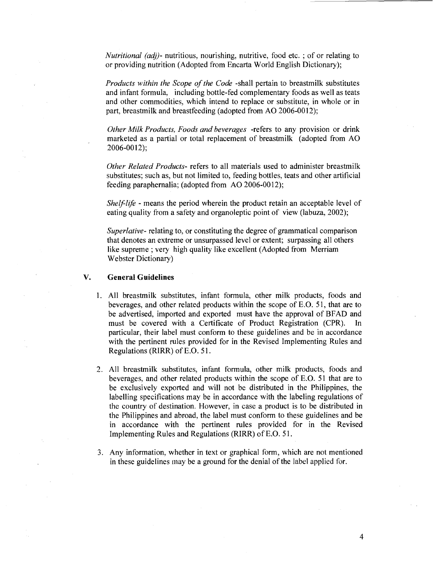*Nutritional (ad))-* nutritious, nourishing, nutritive, food etc. ; of or relating to or providing nutrition (Adopted from Encarta World English Dictionary);

*Products within the Scope of the Code* -shall pertain to breastmilk substitutes and infant formula, including bottle-fed complementary foods as well as teats and other commodities, which intend to replace or substitute, in whole or in part, breastmilk and breastfeeding (adopted from AO 2006-0012);

*Other Milk Products, Foods and beverages* -refers to any provision or drink marketed as a partial or total replacement of breastmilk (adopted from AO 2006-0012);

*Other Related Products-* refers to all materials used to administer breastmilk substitutes; such as, but not limited to, feeding bottles, teats and other artificial feeding paraphernalia; (adopted from AO 2006-0012);

*Shelf-life* - means the period wherein the product retain an acceptable level of eating quality from a safety and organoleptic point of view (labuza, 2002);

*Superlative-* relating to, or constituting the degree of grammatical comparison that denotes an extreme or unsurpassed level or extent; surpassing all others like supreme ; very high quality like excellent (Adopted from Merriam Webster Dictionary)

#### **V. General Guidelines**

- 1. All breastmilk substitutes, infant formula, other milk products, foods and beverages, and other related products within the scope of E.O. 51, that are to be advertised, imported and exported must have the approval of BFAD and must be covered with a Certificate of Product Registration (CPR). In particular, their label must conform to these guidelines and be in accordance with the pertinent rules provided for in the Revised Implementing Rules and Regulations (RIRR) of E.O. 51.
- 2. All breastmilk substitutes, infant formula, other milk products, foods and beverages, and other related products within the scope of E.O. 51 that are to be exclusively exported and will not be distributed in the Philippines, the labelling specifications may be in accordance with the labeling regulations of the country of destination. However, in case a product is to be distributed in the Philippines and abroad, the label must conform to these guidelines and be in accordance with the pertinent rules provided for in the Revised Implementing Rules and Regulations (RIRR) of E.O. 51.
- 3. Any information, whether in text or graphical form, which are not mentioned in these guidelines may be a ground for the denial of the label applied for.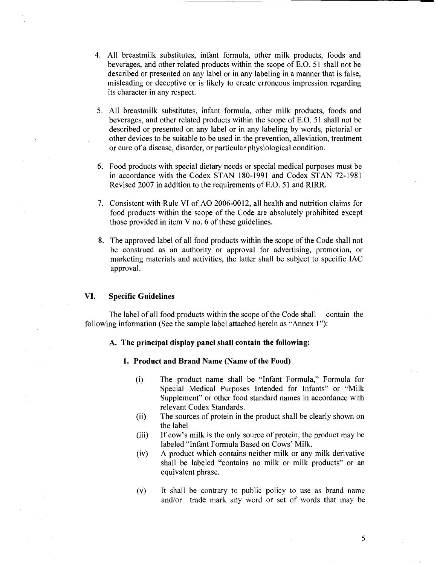- 4. All breastmilk substitutes, infant formula, other milk products, foods and beverages, and other related products within the scope of E.O. 51 shall not be described or presented on any label or in any labeling in a manner that is false, misleading or deceptive or is likely to create erroneous impression regarding its character in any respect.
- 5. All breastmilk substitutes, infant formula, other milk products, foods and beverages, and other related products within the scope of E.O. 51 shall not be described or presented on any label or in any labeling by words, pictorial or other devices to be suitable to be used in the prevention, alleviation, treatment or cure of a disease, disorder, or particular physiological condition.
- 6. Food products with special dietary needs or special medical purposes must be in accordance with the Codex STAN 180-1991 and Codex STAN 72-1981 Revised 2007 in addition to the requirements of E.O. 51 and RIRR.
- 7. Consistent with Rule VI of AO 2006-0012, all health and nutrition claims for food products within the scope of the Code are absolutely prohibited except those provided in item  $V$  no.  $6$  of these guidelines.
- 8. The approved label of all food products within the scope of the Code shall not be construed as an authority or approval for advertising, promotion, or marketing materials and activities, the latter shall be subject to specific lAC approval.

#### VI. **Specific Guidelines**

The label of all food products within the scope of the Code shall contain the following information (See the sample label attached herein as "Annex 1"):

#### A. **The principal display panel shall contain the following:**

#### **1. Product and Brand Name (Name of the Food)**

- (i) The product name shall be "Infant Formula," Formula for Special Medical Purposes Intended for Infants" or "Milk Supplement" or other food standard names in accordance with relevant Codex Standards.
- (ii) The sources of protein in the product shall be clearly shown on the label
- (iii) If cow's milk is the only source of protein, the product may be labeled "Infant Formula Based on Cows' Milk.
- (iv) A product which contains neither milk or any milk derivative shall be labeled "contains no milk or milk products" or an equivalent phrase.
- (v) It shall be contrary to public policy to use as brand name and/or trade mark any word or set of words that may be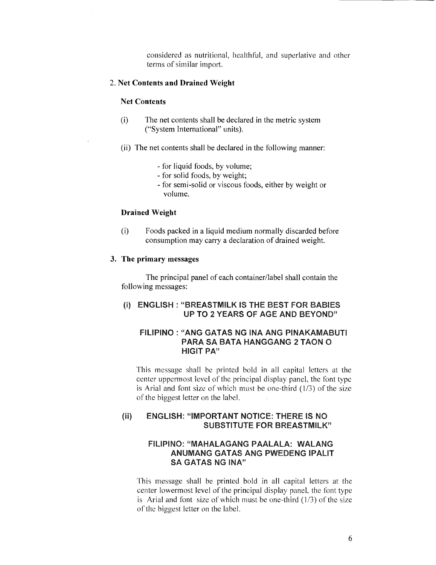considered as nutritional, healthful, and superlative and other terms of similar import.

## 2. Net Contents and Drained Weight

#### Net Contents

- (i) The net contents shall be declared in the metric system ("System International" units).
- (ii) The net contents shall be declared in the following manner:
	- for liquid foods, by volume;
	- for solid foods, by weight;
	- for semi-solid or viscous foods, either by weight or volume.

## Drained Weight

(i) Foods packed in a liquid medium normally discarded before consumption may carry a declaration of drained weight.

# 3. The primary messages

The principal panel of each container/label shall contain the following messages:

# (i) ENGLISH : "BREASTMILK IS THE BEST FOR BABIES UP TO 2 YEARS OF AGE AND BEYOND"

# FILIPINO: "ANG GATAS NG INA ANG PINAKAMABUTI PARA SA BATA HANGGANG 2 TAON 0 HIGIT PA"

This message shall be printed bold in all capital letters at the center uppermost level of the principal display panel, the font type is Arial and font size of which must be one-third  $(1/3)$  of the size of the biggest letter on the label.

# (ii) ENGLISH: "IMPORTANT NOTICE: THERE IS NO SUBSTITUTE FOR BREASTMILK"

# FILIPINO: "MAHALAGANG PAALALA: WALANG ANUMANG GATAS ANG PWEDENG IPALIT SA GATAS NG INA"

This message shall be printed bold in all capital letters at the center lowermost level of the principal display paneL the font type is Arial and font size of which must be one-third  $(1/3)$  of the size of the biggest letter on the label.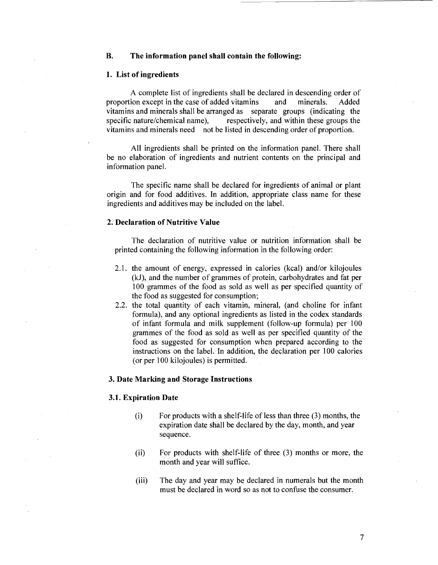#### **B. The information panel shall contain the following:**

#### **1. List of ingredients**

A complete list of ingredients shall be declared in descending order of proportion except in the case of added vitamins and minerals. Added vitamins and minerals shall be arranged as separate groups (indicating the specific nature/chemical name), respectively, and within these groups the vitamins and minerals need not be listed in descending order of proportion.

All ingredients shall be printed on the information panel. There shall be no elaboration of ingredients and nutrient contents on the principal and information panel.

The specific name shall be declared for ingredients of animal or plant origin and for food additives. In addition, appropriate class name for these ingredients and additives may be included on the label.

#### **2. Declaration of Nutritive Value**

The declaration of nutritive value or nutrition information shall be printed containing the following information in the following order:

- 2.1. the amount of energy, expressed in calories (kcal) and/or kilojoules (kJ), and the number of grammes of protein, carbohydrates and fat per 100 grammes of the food as sold as well as per specified quantity of the food as suggested for consumption;
- 2.2. the total quantity of each vitamin, mineral, (and choline for infant formula), and any optional ingredients as listed in the codex standards of infant formula and milk supplement (follow-up formula) per 100 grammes of the food as sold as well as per specified quantity of the food as suggested for consumption when prepared according to the instructions on the label. In addition, the declaration per 100 calories (or per 100 kilojoules) is permitted.

#### **3. Date Marking and Storage Instructions**

#### **3.1. Expiration Date**

- (i) For products with a shelf-life of less than three (3) months, the expiration date shall be declared by the day, month, and year sequence.
- (ii) For products with shelf-life of three (3) months or more, the month and year will suffice.
- (iii) The day and year may be declared in numerals but the month must be declared in word so as not to confuse the consumer.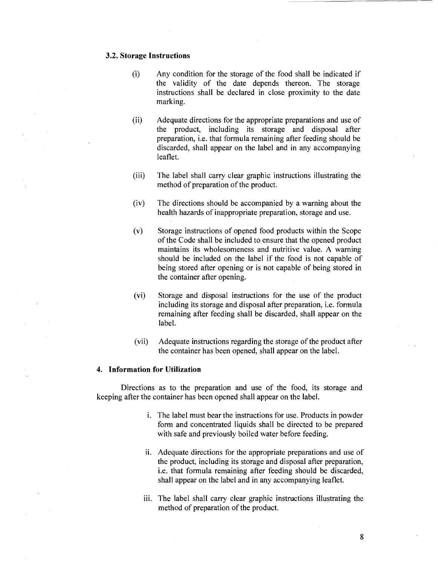### **3.2. Storage Instructions**

- (i) Any condition for the storage of the food shall be indicated if the validity of the date depends thereon. The storage instructions shall be declared in close proximity to the date marking.
- (ii) Adequate directions for the appropriate preparations and use of the product, including its storage and disposal after preparation, i.e. that formula remaining after feeding should be discarded, shall appear on the label and in any accompanying leaflet.
- (iii) The label shall carry clear graphic instructions illustrating the method of preparation of the product.
- (iv) The directions should be accompanied by a warning about the health hazards of inappropriate preparation, storage and use.
- (v) Storage instructions of opened food products within the Scope of the Code shall be included to ensure that the opened product maintains its wholesomeness and nutritive value. A warning should be included on the label if the food is not capable of being stored after opening or is not capable of being stored in the container after opening.
- (vi) Storage and disposal instructions for the use of the product including its storage and disposal after preparation, i.e. formula remaining after feeding shall be discarded, shall appear on the label.
- (vii) Adequate instructions regarding the storage of the product after the container has been opened, shall appear on the label.

#### **4. Information for Utilization**

Directions as to the preparation and use of the food, its storage and keeping after the container has been opened shall appear on the label.

- i. The label must bear the instructions for use. Products in powder form and concentrated liquids shall be directed to be prepared with safe and previously boiled water before feeding.
- ii. Adequate directions for the appropriate preparations and use of the product, including its storage and disposal after preparation, i.e. that formula remaining after feeding should be discarded, shall appear on the label and in any accompanying leaflet.
- iii. The label shall carry clear graphic instructions illustrating the method of preparation of the product.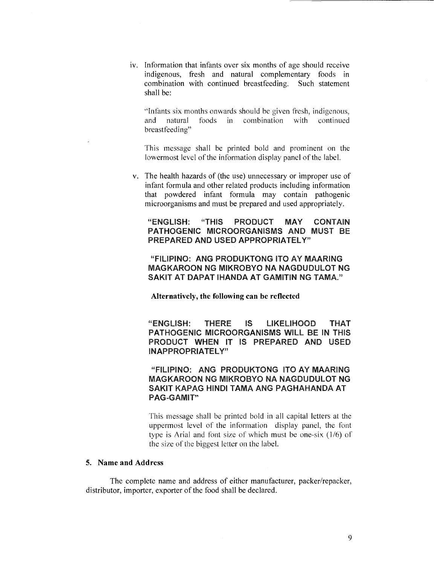iv. Information that infants over six months of age should receive indigenous, fresh and natural complementary foods in combination with continued breastfeeding. Such statement shall be:

"Infants six months onwards should be given fresh, indigenous, and natural foods in combination with continued breastfeeding"

'fhis message shall be printed bold and prominent on the lowermost level of the information display panel of the label.

v. The health hazards of (the use) unnecessary or improper use of infant formula and other related products including information that powdered infant formula may contain pathogenic microorganisms and must be prepared and used appropriately.

# "ENGLISH: "THIS PRODUCT MAY CONTAIN PATHOGENIC MICROORGANISMS AND MUST BE PREPARED AND USED APPROPRIATELY"

"FILIPINO: ANG PRODUKTONG ITO AY MAARING MAGKAROON NG MIKROBYO NA NAGDUDULOT NG SAKIT AT DAPAT IHANDA AT GAMITIN NG TAMA."

**Alternatively, the following can be reflected** 

"ENGLISH: THERE IS LIKELIHOOD THAT PATHOGENIC MICROORGANISMS WILL BE IN THIS PRODUCT WHEN IT IS PREPARED AND USED INAPPROPRIATELY"

"FILIPINO: ANG PRODUKTONG ITO AY MAARING MAGKAROON NG MIKROBYO NA NAGDUDULOT NG SAKIT KAPAG HINDI TAMA ANG PAGHAHANDA AT PAG~GAMIT"

This message shall be printed bold in all capital letters at the uppermost level of the information display panel, the font type is Arial and font size of which must be one-six  $(1/6)$  of the size of the biggest letter on the label.

#### **5. Name and Address**

The complete name and address of either manufacturer, packer/repacker, distributor, importer, exporter of the food shall be declared.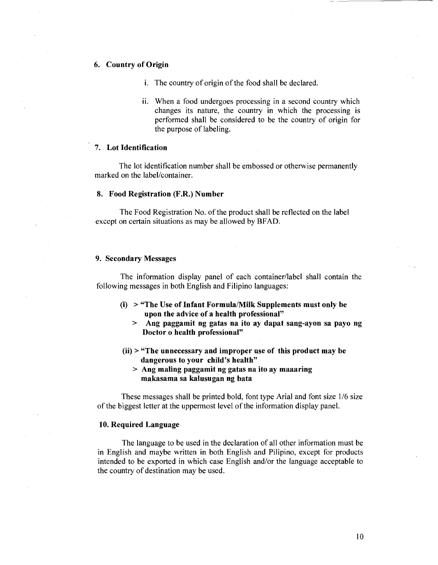# 6. Country of Origin

- i. The country of origin of the food shall be declared.
- ii. When a food undergoes processing in a second country which changes its nature, the country in which the processing is performed shall be considered to be the country of origin for the purpose of labeling.

#### 7. Lot Identification

The lot identification number shall be embossed or otherwise permanently marked on the label/container.

#### 8. Food Registration (F.R.) Number

The Food Registration No. of the product shall be reflected on the label except on certain situations as may be allowed by BFAD.

#### 9. Secondary Messages

The information display panel of each container/label shall contain the following messages in both English and Filipino languages:

- $(i)$  > "The Use of Infant Formula/Milk Supplements must only be upon the advice of a health professional"
	- > Ang paggamit ng gatas na ito ay dapat sang-ayon sa payo ng Doctor o health professional"
- $(ii)$  > "The unnecessary and improper use of this product may be dangerous to your child's health"
	- > Ang maling paggamit ng gatas na ito ay maaaring makasama sa kalusugan ng bata

These messages shall be printed bold, font type Arial and font size 1/6 size of the biggest letter at the uppermost level of the information display panel.

#### 10. Required Language

The language to be used in the declaration of all other information must be in English and maybe written in both English and Pilipino, except for products intended to be exported in which case English and/or the language acceptable to the country of destination may be used.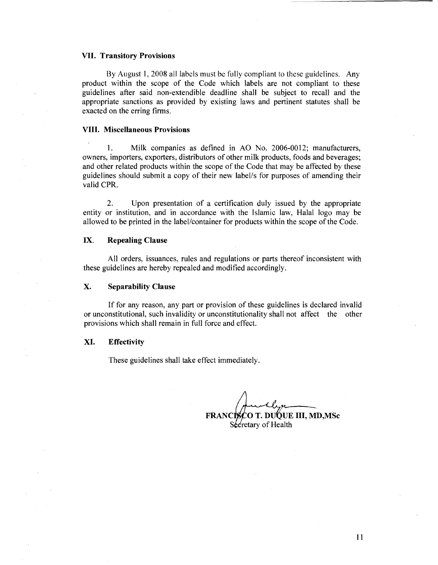#### **VII. Transitory Provisions**

By August 1, 2008 all labels must be fully compliant to these guidelines. Any product within the scope of the Code which labels are not compliant to these guidelines after said non-extendible deadline shall be subject to recall and the appropriate sanctions as provided by existing laws and pertinent statutes shall be exacted on the erring firms.

#### **VIII. Miscellaneous Provisions**

I. Milk companies as defined in AO No. 2006-0012; manufacturers, owners, importers, exporters, distributors of other milk products, foods and beverages; and other related products within the scope of the Code that may be affected by these guidelines should submit a copy of their new label!s for purposes of amending their valid CPR.

2. Upon presentation of a certification duly issued by the appropriate entity or institution, and in accordance with the Islamic law, Halal logo may be allowed to be printed in the label/container for products within the scope of the Code.

#### **IX. Repealing Clause**

All orders, issuances, rules and regulations or parts thereof inconsistent with these guidelines are hereby repealed and modified accordingly.

#### **X. Separability Clause**

If for any reason, any part or provision of these guidelines is declared invalid or unconstitutional, such invalidity or unconstitutionality shall not affect the other provisions which shall remain in full force and effect.

#### **XI. Effectivity**

These guidelines shall take effect immediately.

**FRANCISCO T. DUQUE III, MD, MSc** 

Secretary of Health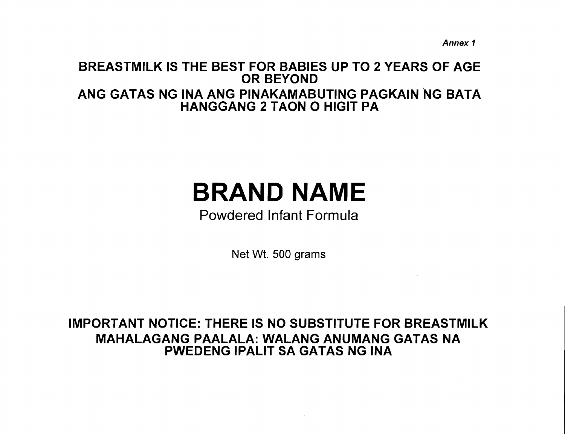Annex 1

# BREASTMILK IS THE BEST FOR BABIES UP TO 2 YEARS OF AGE OR BEYOND ANG GATAS NG INA ANG PINAKAMABUTING PAGKAIN NG BATA HANGGANG 2 TAON 0 HIGIT PA

# BRAND NAME

# Powdered Infant Formula

Net Wt. 500 grams

# IMPORTANT NOTICE: THERE IS NO SUBSTITUTE FOR BREASTMILK MAHALAGANG PAALALA: WALANG ANUMANG GATAS NA PWEDENG IPALIT SA GATAS NG INA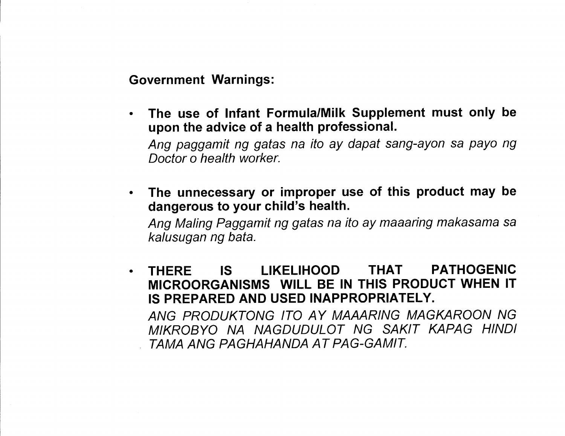Government Warnings:

• The use of Infant Formula/Milk Supplement must only be upon the advice of a health professional.

Ang paggamit ng gatas na ito ay dapat sang-ayon sa payo ng Doctor o health worker.

• The unnecessary or improper use of this product may be dangerous to your child's health.

Ang Maling Paggamit ng gatas na ito ay maaaring makasama sa kalusugan ng bata.

• THERE IS LIKELIHOOD THAT PATHOGENIC MICROORGANISMS WILL BE IN THIS PRODUCT WHEN IT IS PREPARED AND USED INAPPROPRIATELY.

ANG PRODUKTONG ITO AY MAAARING MAGKAROON NG MIKROBYO NA NAGDUDULOT NG SAKIT KAPAG HINDI , TAMA ANG PAGHAHANDA AT PAG-GAMIT.